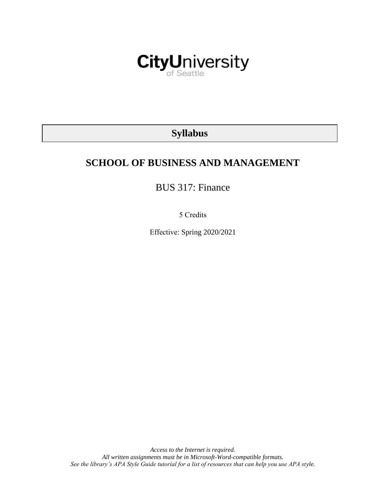

# **Syllabus**

# **SCHOOL OF BUSINESS AND MANAGEMENT**

BUS 317: Finance

5 Credits

Effective: Spring 2020/2021

*Access to the Internet is required. All written assignments must be in Microsoft-Word-compatible formats. See the library's APA Style Guide tutorial for a list of resources that can help you use APA style.*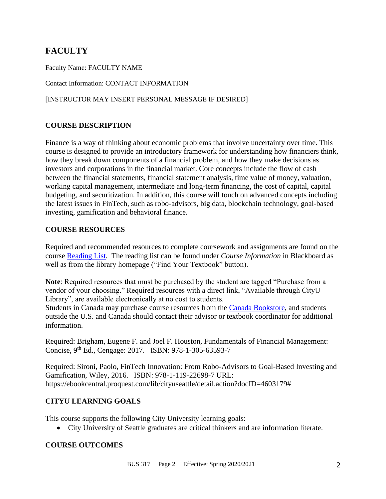# **FACULTY**

Faculty Name: FACULTY NAME

Contact Information: CONTACT INFORMATION

#### [INSTRUCTOR MAY INSERT PERSONAL MESSAGE IF DESIRED]

#### **COURSE DESCRIPTION**

Finance is a way of thinking about economic problems that involve uncertainty over time. This course is designed to provide an introductory framework for understanding how financiers think, how they break down components of a financial problem, and how they make decisions as investors and corporations in the financial market. Core concepts include the flow of cash between the financial statements, financial statement analysis, time value of money, valuation, working capital management, intermediate and long-term financing, the cost of capital, capital budgeting, and securitization. In addition, this course will touch on advanced concepts including the latest issues in FinTech, such as robo-advisors, big data, blockchain technology, goal-based investing, gamification and behavioral finance.

#### **COURSE RESOURCES**

Required and recommended resources to complete coursework and assignments are found on the course [Reading List.](https://cityu.alma.exlibrisgroup.com/leganto/login?auth=SAML) The reading list can be found under *Course Information* in Blackboard as well as from the library homepage ("Find Your Textbook" button).

**Note**: Required resources that must be purchased by the student are tagged "Purchase from a vendor of your choosing." Required resources with a direct link, "Available through CityU Library", are available electronically at no cost to students.

Students in Canada may purchase course resources from the [Canada Bookstore,](https://www.cityubookstore.ca/index.asp) and students outside the U.S. and Canada should contact their advisor or textbook coordinator for additional information.

Required: Brigham, Eugene F. and Joel F. Houston, Fundamentals of Financial Management: Concise, 9th Ed., Cengage: 2017. ISBN: 978-1-305-63593-7

Required: Sironi, Paolo, FinTech Innovation: From Robo-Advisors to Goal-Based Investing and Gamification, Wiley, 2016. ISBN: 978-1-119-22698-7 URL: https://ebookcentral.proquest.com/lib/cityuseattle/detail.action?docID=4603179#

# **CITYU LEARNING GOALS**

This course supports the following City University learning goals:

• City University of Seattle graduates are critical thinkers and are information literate.

# **COURSE OUTCOMES**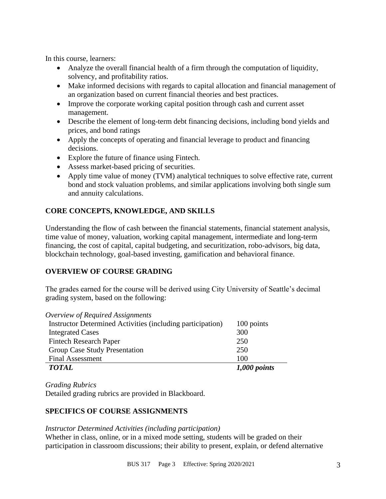In this course, learners:

- Analyze the overall financial health of a firm through the computation of liquidity, solvency, and profitability ratios.
- Make informed decisions with regards to capital allocation and financial management of an organization based on current financial theories and best practices.
- Improve the corporate working capital position through cash and current asset management.
- Describe the element of long-term debt financing decisions, including bond yields and prices, and bond ratings
- Apply the concepts of operating and financial leverage to product and financing decisions.
- Explore the future of finance using Fintech.
- Assess market-based pricing of securities.
- Apply time value of money (TVM) analytical techniques to solve effective rate, current bond and stock valuation problems, and similar applications involving both single sum and annuity calculations.

# **CORE CONCEPTS, KNOWLEDGE, AND SKILLS**

Understanding the flow of cash between the financial statements, financial statement analysis, time value of money, valuation, working capital management, intermediate and long-term financing, the cost of capital, capital budgeting, and securitization, robo-advisors, big data, blockchain technology, goal-based investing, gamification and behavioral finance.

# **OVERVIEW OF COURSE GRADING**

The grades earned for the course will be derived using City University of Seattle's decimal grading system, based on the following:

| Overview of Required Assignments                           |                |
|------------------------------------------------------------|----------------|
| Instructor Determined Activities (including participation) | 100 points     |
| <b>Integrated Cases</b>                                    | 300            |
| <b>Fintech Research Paper</b>                              | 250            |
| Group Case Study Presentation                              | 250            |
| <b>Final Assessment</b>                                    | 100            |
| <b>TOTAL</b>                                               | $1,000$ points |

*Grading Rubrics*

Detailed grading rubrics are provided in Blackboard.

# **SPECIFICS OF COURSE ASSIGNMENTS**

#### *Instructor Determined Activities (including participation)*

Whether in class, online, or in a mixed mode setting, students will be graded on their participation in classroom discussions; their ability to present, explain, or defend alternative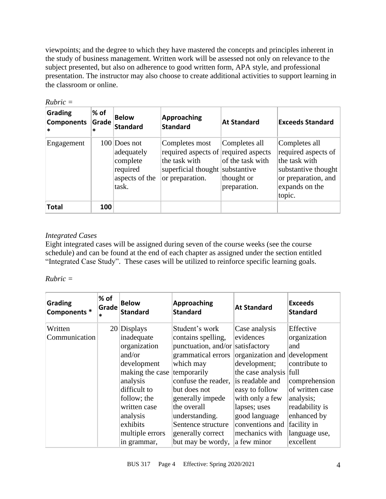viewpoints; and the degree to which they have mastered the concepts and principles inherent in the study of business management. Written work will be assessed not only on relevance to the subject presented, but also on adherence to good written form, APA style, and professional presentation. The instructor may also choose to create additional activities to support learning in the classroom or online.

| Grading<br><b>Components</b><br>$\ast$ | $%$ of<br>Grade<br>$\ast$ | <b>Below</b><br><b>Standard</b>                                                 | <b>Approaching</b><br><b>Standard</b>                                                                                         | <b>At Standard</b>                                              | <b>Exceeds Standard</b>                                                                                                         |
|----------------------------------------|---------------------------|---------------------------------------------------------------------------------|-------------------------------------------------------------------------------------------------------------------------------|-----------------------------------------------------------------|---------------------------------------------------------------------------------------------------------------------------------|
| Engagement                             |                           | $100$ Does not<br>adequately<br>complete<br>required<br>aspects of the<br>task. | Completes most<br>required aspects of required aspects<br>the task with<br>superficial thought substantive<br>or preparation. | Completes all<br>of the task with<br>thought or<br>preparation. | Completes all<br>required aspects of<br>the task with<br>substantive thought<br>or preparation, and<br>expands on the<br>topic. |
| <b>Total</b>                           | 100                       |                                                                                 |                                                                                                                               |                                                                 |                                                                                                                                 |

*Rubric =* 

# *Integrated Cases*

Eight integrated cases will be assigned during seven of the course weeks (see the course schedule) and can be found at the end of each chapter as assigned under the section entitled "Integrated Case Study". These cases will be utilized to reinforce specific learning goals.

*Rubric =* 

| <b>Grading</b><br>Components * | % of<br>Grade<br>$\ast$ | <b>Below</b><br><b>Standard</b> | Approaching<br><b>Standard</b>   | <b>At Standard</b>           | <b>Exceeds</b><br>Standard |
|--------------------------------|-------------------------|---------------------------------|----------------------------------|------------------------------|----------------------------|
| Written                        |                         | $20$ Displays                   | Student's work                   | Case analysis                | Effective                  |
| Communication                  |                         | inadequate                      | contains spelling,               | evidences                    | organization               |
|                                |                         | organization                    | punctuation, and/or satisfactory |                              | and                        |
|                                |                         | and/or                          | grammatical errors               | organization and development |                            |
|                                |                         | development                     | which may                        | development;                 | contribute to              |
|                                |                         | making the case                 | temporarily                      | the case analysis full       |                            |
|                                |                         | analysis                        | confuse the reader,              | is readable and              | comprehension              |
|                                |                         | difficult to                    | but does not                     | easy to follow               | of written case            |
|                                |                         | follow; the                     | generally impede                 | with only a few              | analysis;                  |
|                                |                         | written case                    | the overall                      | lapses; uses                 | readability is             |
|                                |                         | analysis                        | understanding.                   | good language                | enhanced by                |
|                                |                         | exhibits                        | Sentence structure               | conventions and              | facility in                |
|                                |                         | multiple errors                 | generally correct                | mechanics with               | language use,              |
|                                |                         | in grammar,                     | but may be wordy,                | a few minor                  | excellent                  |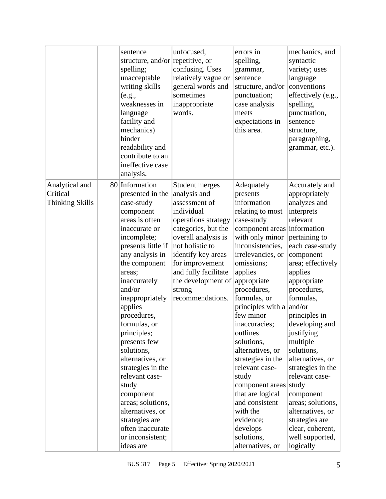|                                                      | sentence<br>structure, and/or repetitive, or<br>spelling;<br>unacceptable<br>writing skills<br>(e.g.,<br>weaknesses in<br>language<br>facility and<br>mechanics)<br>hinder<br>readability and<br>contribute to an<br>ineffective case<br>analysis.                                                                                                                                                                                                                                                                       | unfocused,<br>confusing. Uses<br>relatively vague or<br>general words and<br>sometimes<br>inappropriate<br>words.                                                                                                                                                          | errors in<br>spelling,<br>grammar,<br>sentence<br>structure, and/or<br>punctuation;<br>case analysis<br>meets<br>expectations in<br>this area.                                                                                                                                                                                                                                                                                                                                                                                   | mechanics, and<br>syntactic<br>variety; uses<br>language<br>conventions<br>effectively (e.g.,<br>spelling,<br>punctuation,<br>sentence<br>structure,<br>paragraphing,<br>grammar, etc.).                                                                                                                                                                                                                                                                                          |
|------------------------------------------------------|--------------------------------------------------------------------------------------------------------------------------------------------------------------------------------------------------------------------------------------------------------------------------------------------------------------------------------------------------------------------------------------------------------------------------------------------------------------------------------------------------------------------------|----------------------------------------------------------------------------------------------------------------------------------------------------------------------------------------------------------------------------------------------------------------------------|----------------------------------------------------------------------------------------------------------------------------------------------------------------------------------------------------------------------------------------------------------------------------------------------------------------------------------------------------------------------------------------------------------------------------------------------------------------------------------------------------------------------------------|-----------------------------------------------------------------------------------------------------------------------------------------------------------------------------------------------------------------------------------------------------------------------------------------------------------------------------------------------------------------------------------------------------------------------------------------------------------------------------------|
| Analytical and<br>Critical<br><b>Thinking Skills</b> | 80 Information<br>presented in the<br>case-study<br>component<br>areas is often<br>inaccurate or<br>incomplete;<br>presents little if<br>any analysis in<br>the component<br>areas;<br>inaccurately<br>and/or<br>inappropriately<br>applies<br>procedures,<br>formulas, or<br>principles;<br>presents few<br>solutions,<br>alternatives, or<br>strategies in the<br>relevant case-<br>study<br>component<br>areas; solutions,<br>alternatives, or<br>strategies are<br>often inaccurate<br>or inconsistent;<br>ideas are | Student merges<br>analysis and<br>assessment of<br>individual<br>operations strategy<br>categories, but the<br>overall analysis is<br>not holistic to<br>identify key areas<br>for improvement<br>and fully facilitate<br>the development of<br>strong<br>recommendations. | Adequately<br>presents<br>information<br>relating to most<br>case-study<br>component areas information<br>with only minor<br>inconsistencies,<br>irrelevancies, or<br>omissions;<br>applies<br>appropriate<br>procedures,<br>formulas, or<br>principles with a<br>few minor<br>inaccuracies;<br>outlines<br>solutions,<br>alternatives, or<br>strategies in the<br>relevant case-<br>study<br>component areas study<br>that are logical<br>and consistent<br>with the<br>evidence;<br>develops<br>solutions,<br>alternatives, or | Accurately and<br>appropriately<br>analyzes and<br>interprets<br>relevant<br>pertaining to<br>each case-study<br>component<br>area; effectively<br>applies<br>appropriate<br>procedures,<br>formulas,<br>and/or<br>principles in<br>developing and<br>justifying<br>multiple<br>solutions,<br>alternatives, or<br>strategies in the<br>relevant case-<br>component<br>areas; solutions,<br>alternatives, or<br>strategies are<br>clear, coherent,<br>well supported,<br>logically |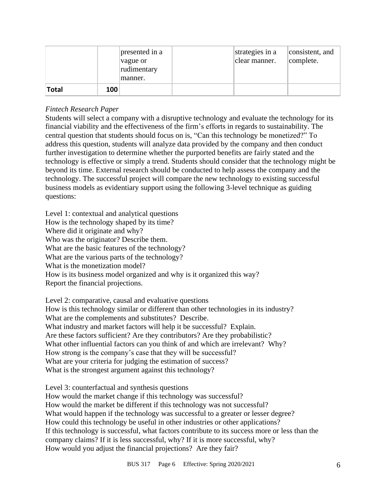|       |     | presented in a<br>vague or<br>rudimentary<br>manner. | strategies in a<br>clear manner. | consistent, and<br>complete. |
|-------|-----|------------------------------------------------------|----------------------------------|------------------------------|
| Total | 100 |                                                      |                                  |                              |

# *Fintech Research Paper*

Students will select a company with a disruptive technology and evaluate the technology for its financial viability and the effectiveness of the firm's efforts in regards to sustainability. The central question that students should focus on is, "Can this technology be monetized?" To address this question, students will analyze data provided by the company and then conduct further investigation to determine whether the purported benefits are fairly stated and the technology is effective or simply a trend. Students should consider that the technology might be beyond its time. External research should be conducted to help assess the company and the technology. The successful project will compare the new technology to existing successful business models as evidentiary support using the following 3-level technique as guiding questions:

Level 1: contextual and analytical questions How is the technology shaped by its time? Where did it originate and why? Who was the originator? Describe them. What are the basic features of the technology? What are the various parts of the technology? What is the monetization model? How is its business model organized and why is it organized this way? Report the financial projections.

Level 2: comparative, causal and evaluative questions How is this technology similar or different than other technologies in its industry? What are the complements and substitutes? Describe. What industry and market factors will help it be successful? Explain. Are these factors sufficient? Are they contributors? Are they probabilistic? What other influential factors can you think of and which are irrelevant? Why? How strong is the company's case that they will be successful? What are your criteria for judging the estimation of success? What is the strongest argument against this technology?

Level 3: counterfactual and synthesis questions How would the market change if this technology was successful? How would the market be different if this technology was not successful? What would happen if the technology was successful to a greater or lesser degree? How could this technology be useful in other industries or other applications? If this technology is successful, what factors contribute to its success more or less than the company claims? If it is less successful, why? If it is more successful, why? How would you adjust the financial projections? Are they fair?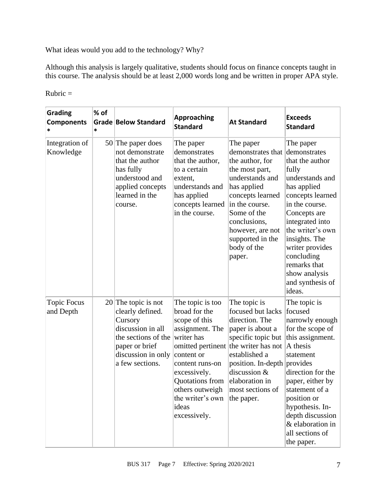What ideas would you add to the technology? Why?

Although this analysis is largely qualitative, students should focus on finance concepts taught in this course. The analysis should be at least 2,000 words long and be written in proper APA style.

| <b>Grading</b><br><b>Components</b><br>* | % of<br>* | Grade Below Standard                                                                                                                                        | <b>Approaching</b><br><b>Standard</b>                                                                                                                                                                                                        | <b>At Standard</b>                                                                                                                                                                                                                          | <b>Exceeds</b><br><b>Standard</b>                                                                                                                                                                                                                                                                     |
|------------------------------------------|-----------|-------------------------------------------------------------------------------------------------------------------------------------------------------------|----------------------------------------------------------------------------------------------------------------------------------------------------------------------------------------------------------------------------------------------|---------------------------------------------------------------------------------------------------------------------------------------------------------------------------------------------------------------------------------------------|-------------------------------------------------------------------------------------------------------------------------------------------------------------------------------------------------------------------------------------------------------------------------------------------------------|
| Integration of<br>Knowledge              |           | $50$ The paper does<br>not demonstrate<br>that the author<br>has fully<br>understood and<br>applied concepts<br>learned in the<br>course.                   | The paper<br>demonstrates<br>that the author,<br>to a certain<br>extent,<br>understands and<br>has applied<br>concepts learned<br>in the course.                                                                                             | The paper<br>demonstrates that<br>the author, for<br>the most part,<br>understands and<br>has applied<br>concepts learned<br>in the course.<br>Some of the<br>conclusions,<br>however, are not<br>supported in the<br>body of the<br>paper. | The paper<br>demonstrates<br>that the author<br>fully<br>understands and<br>has applied<br>concepts learned<br>in the course.<br>Concepts are<br>integrated into<br>the writer's own<br>insights. The<br>writer provides<br>concluding<br>remarks that<br>show analysis<br>and synthesis of<br>ideas. |
| <b>Topic Focus</b><br>and Depth          |           | $20$ The topic is not<br>clearly defined.<br>Cursory<br>discussion in all<br>the sections of the<br>paper or brief<br>discussion in only<br>a few sections. | The topic is too<br>broad for the<br>scope of this<br>assignment. The<br>writer has<br>omitted pertinent<br>content or<br>content runs-on<br>excessively.<br>Quotations from<br>others outweigh<br>the writer's own<br>ideas<br>excessively. | The topic is<br>focused but lacks<br>direction. The<br>paper is about a<br>specific topic but<br>the writer has not<br>established a<br>position. In-depth provides<br>discussion &<br>elaboration in<br>most sections of<br>the paper.     | The topic is<br>focused<br>narrowly enough<br>for the scope of<br>this assignment.<br>A thesis<br>statement<br>direction for the<br>paper, either by<br>statement of a<br>position or<br>hypothesis. In-<br>depth discussion<br>& elaboration in<br>all sections of<br>the paper.                     |

 $Rubic =$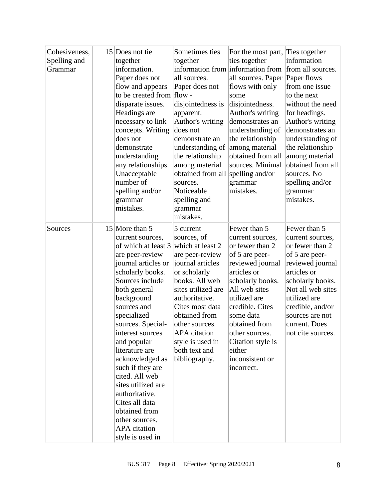| Cohesiveness,<br>Spelling and<br>Grammar | 15 Does not tie<br>together<br>information.<br>Paper does not<br>flow and appears<br>to be created from<br>disparate issues.<br>Headings are<br>necessary to link<br>concepts. Writing<br>does not<br>demonstrate<br>understanding<br>any relationships.<br>Unacceptable<br>number of<br>spelling and/or<br>grammar<br>mistakes.                                                                                                                                                  | Sometimes ties<br>together<br>information from information from<br>all sources.<br>Paper does not<br>$flow -$<br>disjointedness is<br>apparent.<br>Author's writing<br>does not<br>demonstrate an<br>understanding of<br>the relationship<br>among material<br>obtained from all<br>sources.<br>Noticeable<br>spelling and<br>grammar<br>mistakes. | For the most part,<br>ties together<br>all sources. Paper<br>flows with only<br>some<br>disjointedness.<br>Author's writing<br>demonstrates an<br>understanding of<br>the relationship<br>among material<br>obtained from all<br>sources. Minimal<br>spelling and/or<br>grammar<br>mistakes.     | Ties together<br>information<br>from all sources.<br>Paper flows<br>from one issue<br>to the next<br>without the need<br>for headings.<br>Author's writing<br>demonstrates an<br>understanding of<br>the relationship<br>among material<br>obtained from all<br>sources. No<br>spelling and/or<br>grammar<br>mistakes. |
|------------------------------------------|-----------------------------------------------------------------------------------------------------------------------------------------------------------------------------------------------------------------------------------------------------------------------------------------------------------------------------------------------------------------------------------------------------------------------------------------------------------------------------------|----------------------------------------------------------------------------------------------------------------------------------------------------------------------------------------------------------------------------------------------------------------------------------------------------------------------------------------------------|--------------------------------------------------------------------------------------------------------------------------------------------------------------------------------------------------------------------------------------------------------------------------------------------------|------------------------------------------------------------------------------------------------------------------------------------------------------------------------------------------------------------------------------------------------------------------------------------------------------------------------|
| Sources                                  | 15 More than 5<br>current sources,<br>of which at least 3<br>are peer-review<br>journal articles or<br>scholarly books.<br>Sources include<br>both general<br>background<br>sources and<br>specialized<br>sources. Special-<br>interest sources<br>and popular<br>literature are<br>acknowledged as<br>such if they are<br>cited. All web<br>sites utilized are<br>authoritative.<br>Cites all data<br>obtained from<br>other sources.<br><b>APA</b> citation<br>style is used in | 5 current<br>sources, of<br>which at least 2<br>are peer-review<br>journal articles<br>or scholarly<br>books. All web<br>sites utilized are<br>authoritative.<br>Cites most data<br>obtained from<br>other sources.<br><b>APA</b> citation<br>style is used in<br>both text and<br>bibliography.                                                   | Fewer than 5<br>current sources,<br>or fewer than 2<br>of 5 are peer-<br>reviewed journal<br>articles or<br>scholarly books.<br>All web sites<br>utilized are<br>credible. Cites<br>some data<br>obtained from<br>other sources.<br>Citation style is<br>either<br>inconsistent or<br>incorrect. | Fewer than 5<br>current sources,<br>or fewer than 2<br>of 5 are peer-<br>reviewed journal<br>articles or<br>scholarly books.<br>Not all web sites<br>utilized are<br>credible, and/or<br>sources are not<br>current. Does<br>not cite sources.                                                                         |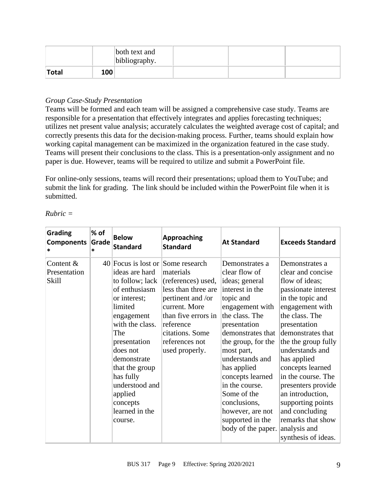|       |     | both text and<br>bibliography. |  |  |
|-------|-----|--------------------------------|--|--|
| Total | 100 |                                |  |  |

# *Group Case-Study Presentation*

Teams will be formed and each team will be assigned a comprehensive case study. Teams are responsible for a presentation that effectively integrates and applies forecasting techniques; utilizes net present value analysis; accurately calculates the weighted average cost of capital; and correctly presents this data for the decision-making process. Further, teams should explain how working capital management can be maximized in the organization featured in the case study. Teams will present their conclusions to the class. This is a presentation-only assignment and no paper is due. However, teams will be required to utilize and submit a PowerPoint file.

For online-only sessions, teams will record their presentations; upload them to YouTube; and submit the link for grading. The link should be included within the PowerPoint file when it is submitted.

| Rubric |  |
|--------|--|
|        |  |

| Grading<br><b>Components</b><br>*         | % of<br>Grade<br>* | <b>Below</b><br><b>Standard</b>                                                                                                                                                                                                                                                                            | <b>Approaching</b><br><b>Standard</b>                                                                                                                                                   | <b>At Standard</b>                                                                                                                                                                                                                                                                                                                                                   | <b>Exceeds Standard</b>                                                                                                                                                                                                                                                                                                                                                                                                    |
|-------------------------------------------|--------------------|------------------------------------------------------------------------------------------------------------------------------------------------------------------------------------------------------------------------------------------------------------------------------------------------------------|-----------------------------------------------------------------------------------------------------------------------------------------------------------------------------------------|----------------------------------------------------------------------------------------------------------------------------------------------------------------------------------------------------------------------------------------------------------------------------------------------------------------------------------------------------------------------|----------------------------------------------------------------------------------------------------------------------------------------------------------------------------------------------------------------------------------------------------------------------------------------------------------------------------------------------------------------------------------------------------------------------------|
| Content &<br>Presentation<br><b>Skill</b> |                    | 40 Focus is lost or Some research<br>ideas are hard<br>to follow; lack<br>of enthusiasm<br>or interest;<br>limited<br>engagement<br>with the class.<br>The<br>presentation<br>does not<br>demonstrate<br>that the group<br>has fully<br>understood and<br>applied<br>concepts<br>learned in the<br>course. | materials<br>(references) used,<br>less than three are<br>pertinent and /or<br>current. More<br>than five errors in<br>reference<br>citations. Some<br>references not<br>used properly. | Demonstrates a<br>clear flow of<br>ideas; general<br>interest in the<br>topic and<br>engagement with<br>the class. The<br>presentation<br>demonstrates that<br>the group, for the<br>most part,<br>understands and<br>has applied<br>concepts learned<br>in the course.<br>Some of the<br>conclusions,<br>however, are not<br>supported in the<br>body of the paper. | Demonstrates a<br>clear and concise<br>flow of ideas;<br>passionate interest<br>in the topic and<br>engagement with<br>the class. The<br>presentation<br>demonstrates that<br>the the group fully<br>understands and<br>has applied<br>concepts learned<br>in the course. The<br>presenters provide<br>an introduction,<br>supporting points<br>and concluding<br>remarks that show<br>analysis and<br>synthesis of ideas. |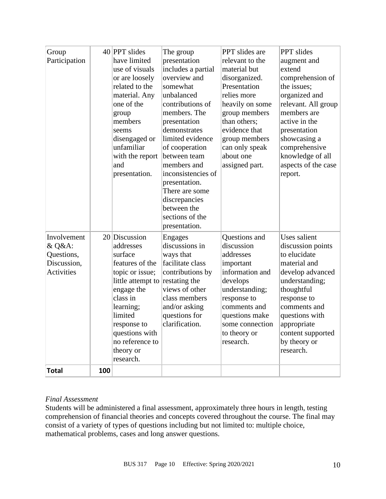| Group<br>Participation                                                                  |     | 40 PPT slides<br>have limited<br>use of visuals<br>or are loosely<br>related to the<br>material. Any<br>one of the<br>group<br>members<br>seems<br>disengaged or<br>unfamiliar<br>with the report<br>and<br>presentation.          | The group<br>presentation<br>includes a partial<br>overview and<br>somewhat<br>unbalanced<br>contributions of<br>members. The<br>presentation<br>demonstrates<br>limited evidence<br>of cooperation<br>between team<br>members and<br>inconsistencies of<br>presentation.<br>There are some<br>discrepancies | PPT slides are<br>relevant to the<br>material but<br>disorganized.<br>Presentation<br>relies more<br>heavily on some<br>group members<br>than others;<br>evidence that<br>group members<br>can only speak<br>about one<br>assigned part. | PPT slides<br>augment and<br>extend<br>comprehension of<br>the issues;<br>organized and<br>relevant. All group<br>members are<br>active in the<br>presentation<br>showcasing a<br>comprehensive<br>knowledge of all<br>aspects of the case<br>report. |
|-----------------------------------------------------------------------------------------|-----|------------------------------------------------------------------------------------------------------------------------------------------------------------------------------------------------------------------------------------|--------------------------------------------------------------------------------------------------------------------------------------------------------------------------------------------------------------------------------------------------------------------------------------------------------------|------------------------------------------------------------------------------------------------------------------------------------------------------------------------------------------------------------------------------------------|-------------------------------------------------------------------------------------------------------------------------------------------------------------------------------------------------------------------------------------------------------|
| Involvement<br>& Q&A:<br>Questions,<br>Discussion,<br><b>Activities</b><br><b>Total</b> | 100 | $20$ Discussion<br>addresses<br>surface<br>features of the<br>topic or issue;<br>little attempt to<br>engage the<br>class in<br>learning;<br>limited<br>response to<br>questions with<br>no reference to<br>theory or<br>research. | between the<br>sections of the<br>presentation.<br>Engages<br>discussions in<br>ways that<br>facilitate class<br>contributions by<br>restating the<br>views of other<br>class members<br>and/or asking<br>questions for<br>clarification.                                                                    | Questions and<br>discussion<br>addresses<br>important<br>information and<br>develops<br>understanding;<br>response to<br>comments and<br>questions make<br>some connection<br>to theory or<br>research.                                  | Uses salient<br>discussion points<br>to elucidate<br>material and<br>develop advanced<br>understanding;<br>thoughtful<br>response to<br>comments and<br>questions with<br>appropriate<br>content supported<br>by theory or<br>research.               |

#### *Final Assessment*

Students will be administered a final assessment, approximately three hours in length, testing comprehension of financial theories and concepts covered throughout the course. The final may consist of a variety of types of questions including but not limited to: multiple choice, mathematical problems, cases and long answer questions.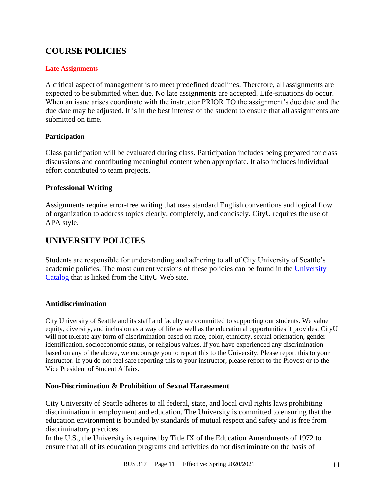# **COURSE POLICIES**

#### **Late Assignments**

A critical aspect of management is to meet predefined deadlines. Therefore, all assignments are expected to be submitted when due. No late assignments are accepted. Life-situations do occur. When an issue arises coordinate with the instructor PRIOR TO the assignment's due date and the due date may be adjusted. It is in the best interest of the student to ensure that all assignments are submitted on time.

#### **Participation**

Class participation will be evaluated during class. Participation includes being prepared for class discussions and contributing meaningful content when appropriate. It also includes individual effort contributed to team projects.

#### **Professional Writing**

Assignments require error-free writing that uses standard English conventions and logical flow of organization to address topics clearly, completely, and concisely. CityU requires the use of APA style.

# **UNIVERSITY POLICIES**

Students are responsible for understanding and adhering to all of City University of Seattle's academic policies. The most current versions of these policies can be found in the [University](http://www.cityu.edu/catalog/)  [Catalog](http://www.cityu.edu/catalog/) that is linked from the CityU Web site.

#### **Antidiscrimination**

City University of Seattle and its staff and faculty are committed to supporting our students. We value equity, diversity, and inclusion as a way of life as well as the educational opportunities it provides. CityU will not tolerate any form of discrimination based on race, color, ethnicity, sexual orientation, gender identification, socioeconomic status, or religious values. If you have experienced any discrimination based on any of the above, we encourage you to report this to the University. Please report this to your instructor. If you do not feel safe reporting this to your instructor, please report to the Provost or to the Vice President of Student Affairs.

# **Non-Discrimination & Prohibition of Sexual Harassment**

City University of Seattle adheres to all federal, state, and local civil rights laws prohibiting discrimination in employment and education. The University is committed to ensuring that the education environment is bounded by standards of mutual respect and safety and is free from discriminatory practices.

In the U.S., the University is required by Title IX of the Education Amendments of 1972 to ensure that all of its education programs and activities do not discriminate on the basis of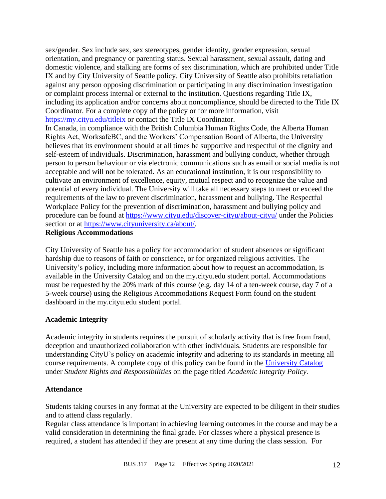sex/gender. Sex include sex, sex stereotypes, gender identity, gender expression, sexual orientation, and pregnancy or parenting status. Sexual harassment, sexual assault, dating and domestic violence, and stalking are forms of sex discrimination, which are prohibited under Title IX and by City University of Seattle policy. City University of Seattle also prohibits retaliation against any person opposing discrimination or participating in any discrimination investigation or complaint process internal or external to the institution. Questions regarding Title IX, including its application and/or concerns about noncompliance, should be directed to the Title IX Coordinator. For a complete copy of the policy or for more information, visit <https://my.cityu.edu/titleix> or contact the Title IX Coordinator.

In Canada, in compliance with the British Columbia Human Rights Code, the Alberta Human Rights Act, WorksafeBC, and the Workers' Compensation Board of Alberta, the University believes that its environment should at all times be supportive and respectful of the dignity and self-esteem of individuals. Discrimination, harassment and bullying conduct, whether through person to person behaviour or via electronic communications such as email or social media is not acceptable and will not be tolerated. As an educational institution, it is our responsibility to cultivate an environment of excellence, equity, mutual respect and to recognize the value and potential of every individual. The University will take all necessary steps to meet or exceed the requirements of the law to prevent discrimination, harassment and bullying. The Respectful Workplace Policy for the prevention of discrimination, harassment and bullying policy and procedure can be found at<https://www.cityu.edu/discover-cityu/about-cityu/> under the Policies section or at [https://www.cityuniversity.ca/about/.](https://www.cityuniversity.ca/about/)

#### **Religious Accommodations**

City University of Seattle has a policy for accommodation of student absences or significant hardship due to reasons of faith or conscience, or for organized religious activities. The University's policy, including more information about how to request an accommodation, is available in the University Catalog and on the my.cityu.edu student portal. Accommodations must be requested by the 20% mark of this course (e.g. day 14 of a ten-week course, day 7 of a 5-week course) using the Religious Accommodations Request Form found on the student dashboard in the my.cityu.edu student portal.

#### **Academic Integrity**

Academic integrity in students requires the pursuit of scholarly activity that is free from fraud, deception and unauthorized collaboration with other individuals. Students are responsible for understanding CityU's policy on academic integrity and adhering to its standards in meeting all course requirements. A complete copy of this policy can be found in the [University Catalog](http://www.cityu.edu/catalog/) under *Student Rights and Responsibilities* on the page titled *Academic Integrity Policy.* 

#### **Attendance**

Students taking courses in any format at the University are expected to be diligent in their studies and to attend class regularly.

Regular class attendance is important in achieving learning outcomes in the course and may be a valid consideration in determining the final grade. For classes where a physical presence is required, a student has attended if they are present at any time during the class session. For